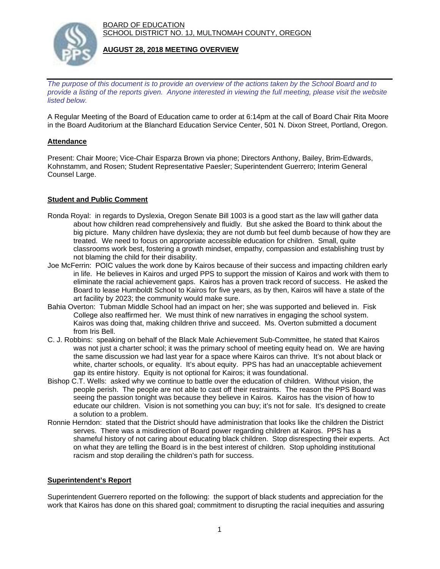BOARD OF EDUCATION SCHOOL DISTRICT NO. 1J, MULTNOMAH COUNTY, OREGON



#### **AUGUST 28, 2018 MEETING OVERVIEW**

*The purpose of this document is to provide an overview of the actions taken by the School Board and to provide a listing of the reports given. Anyone interested in viewing the full meeting, please visit the website listed below.*

A Regular Meeting of the Board of Education came to order at 6:14pm at the call of Board Chair Rita Moore in the Board Auditorium at the Blanchard Education Service Center, 501 N. Dixon Street, Portland, Oregon.

# **Attendance**

Present: Chair Moore; Vice-Chair Esparza Brown via phone; Directors Anthony, Bailey, Brim-Edwards, Kohnstamm, and Rosen; Student Representative Paesler; Superintendent Guerrero; Interim General Counsel Large.

# **Student and Public Comment**

- Ronda Royal: in regards to Dyslexia, Oregon Senate Bill 1003 is a good start as the law will gather data about how children read comprehensively and fluidly. But she asked the Board to think about the big picture. Many children have dyslexia; they are not dumb but feel dumb because of how they are treated. We need to focus on appropriate accessible education for children. Small, quite classrooms work best, fostering a growth mindset, empathy, compassion and establishing trust by not blaming the child for their disability.
- Joe McFerrin: POIC values the work done by Kairos because of their success and impacting children early in life. He believes in Kairos and urged PPS to support the mission of Kairos and work with them to eliminate the racial achievement gaps. Kairos has a proven track record of success. He asked the Board to lease Humboldt School to Kairos for five years, as by then, Kairos will have a state of the art facility by 2023; the community would make sure.
- Bahia Overton: Tubman Middle School had an impact on her; she was supported and believed in. Fisk College also reaffirmed her. We must think of new narratives in engaging the school system. Kairos was doing that, making children thrive and succeed. Ms. Overton submitted a document from Iris Bell.
- C. J. Robbins: speaking on behalf of the Black Male Achievement Sub-Committee, he stated that Kairos was not just a charter school; it was the primary school of meeting equity head on. We are having the same discussion we had last year for a space where Kairos can thrive. It's not about black or white, charter schools, or equality. It's about equity. PPS has had an unacceptable achievement gap its entire history. Equity is not optional for Kairos; it was foundational.
- Bishop C.T. Wells: asked why we continue to battle over the education of children. Without vision, the people perish. The people are not able to cast off their restraints. The reason the PPS Board was seeing the passion tonight was because they believe in Kairos. Kairos has the vision of how to educate our children. Vision is not something you can buy; it's not for sale. It's designed to create a solution to a problem.
- Ronnie Herndon: stated that the District should have administration that looks like the children the District serves. There was a misdirection of Board power regarding children at Kairos. PPS has a shameful history of not caring about educating black children. Stop disrespecting their experts. Act on what they are telling the Board is in the best interest of children. Stop upholding institutional racism and stop derailing the children's path for success.

#### **Superintendent's Report**

Superintendent Guerrero reported on the following: the support of black students and appreciation for the work that Kairos has done on this shared goal; commitment to disrupting the racial inequities and assuring